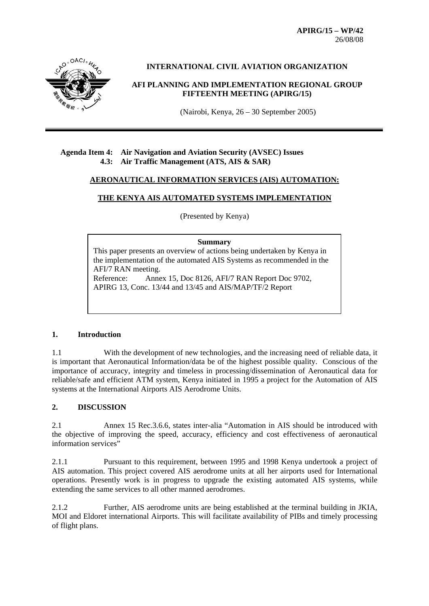**APIRG/15 – WP/42**  26/08/08



**INTERNATIONAL CIVIL AVIATION ORGANIZATION** 

## **AFI PLANNING AND IMPLEMENTATION REGIONAL GROUP FIFTEENTH MEETING (APIRG/15)**

(Nairobi, Kenya, 26 – 30 September 2005)

## **Agenda Item 4: Air Navigation and Aviation Security (AVSEC) Issues 4.3: Air Traffic Management (ATS, AIS & SAR)**

### **AERONAUTICAL INFORMATION SERVICES (AIS) AUTOMATION:**

# **THE KENYA AIS AUTOMATED SYSTEMS IMPLEMENTATION**

(Presented by Kenya)

#### **Summary**

This paper presents an overview of actions being undertaken by Kenya in the implementation of the automated AIS Systems as recommended in the AFI/7 RAN meeting. Reference: Annex 15, Doc 8126, AFI/7 RAN Report Doc 9702,

APIRG 13, Conc. 13/44 and 13/45 and AIS/MAP/TF/2 Report

### **1. Introduction**

1.1 With the development of new technologies, and the increasing need of reliable data, it is important that Aeronautical Information/data be of the highest possible quality. Conscious of the importance of accuracy, integrity and timeless in processing/dissemination of Aeronautical data for reliable/safe and efficient ATM system, Kenya initiated in 1995 a project for the Automation of AIS systems at the International Airports AIS Aerodrome Units.

# **2. DISCUSSION**

2.1 Annex 15 Rec.3.6.6, states inter-alia "Automation in AIS should be introduced with the objective of improving the speed, accuracy, efficiency and cost effectiveness of aeronautical information services"

2.1.1 Pursuant to this requirement, between 1995 and 1998 Kenya undertook a project of AIS automation. This project covered AIS aerodrome units at all her airports used for International operations. Presently work is in progress to upgrade the existing automated AIS systems, while extending the same services to all other manned aerodromes.

2.1.2 Further, AIS aerodrome units are being established at the terminal building in JKIA, MOI and Eldoret international Airports. This will facilitate availability of PIBs and timely processing of flight plans.